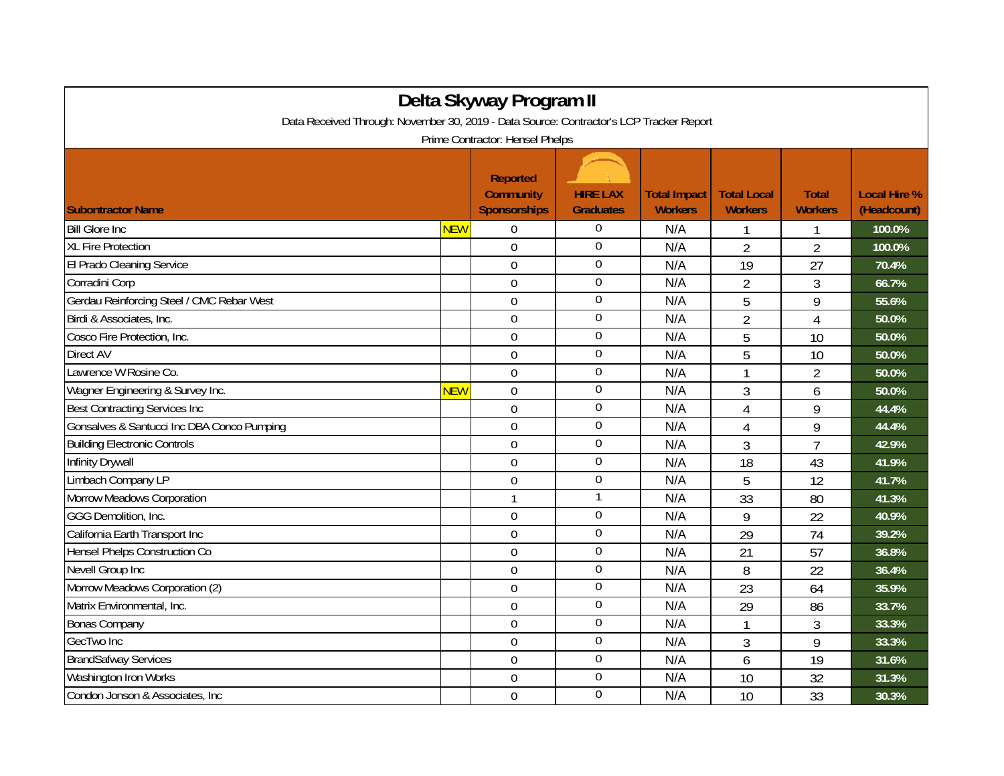| Delta Skyway Program II                                                                                                    |            |                                                            |                                     |                                       |                                      |                                |                                    |  |
|----------------------------------------------------------------------------------------------------------------------------|------------|------------------------------------------------------------|-------------------------------------|---------------------------------------|--------------------------------------|--------------------------------|------------------------------------|--|
| Data Received Through: November 30, 2019 - Data Source: Contractor's LCP Tracker Report<br>Prime Contractor: Hensel Phelps |            |                                                            |                                     |                                       |                                      |                                |                                    |  |
| <b>Subontractor Name</b>                                                                                                   |            | <b>Reported</b><br><b>Community</b><br><b>Sponsorships</b> | <b>HIRE LAX</b><br><b>Graduates</b> | <b>Total Impact</b><br><b>Workers</b> | <b>Total Local</b><br><b>Workers</b> | <b>Total</b><br><b>Workers</b> | <b>Local Hire %</b><br>(Headcount) |  |
| <b>Bill Glore Inc</b>                                                                                                      | <b>NEW</b> | $\Omega$                                                   | $\boldsymbol{0}$                    | N/A                                   |                                      |                                | 100.0%                             |  |
| <b>XL Fire Protection</b>                                                                                                  |            | $\overline{0}$                                             | $\boldsymbol{0}$                    | N/A                                   | $\overline{2}$                       | $\overline{2}$                 | 100.0%                             |  |
| El Prado Cleaning Service                                                                                                  |            | $\mathbf 0$                                                | $\overline{0}$                      | N/A                                   | 19                                   | 27                             | 70.4%                              |  |
| Corradini Corp                                                                                                             |            | $\mathbf 0$                                                | $\overline{0}$                      | N/A                                   | $\overline{2}$                       | 3                              | 66.7%                              |  |
| Gerdau Reinforcing Steel / CMC Rebar West                                                                                  |            | $\overline{0}$                                             | $\mathbf 0$                         | N/A                                   | 5                                    | 9                              | 55.6%                              |  |
| Birdi & Associates, Inc.                                                                                                   |            | $\overline{0}$                                             | $\boldsymbol{0}$                    | N/A                                   | $\overline{2}$                       | $\overline{4}$                 | 50.0%                              |  |
| Cosco Fire Protection, Inc.                                                                                                |            | $\overline{0}$                                             | $\boldsymbol{0}$                    | N/A                                   | 5                                    | 10                             | 50.0%                              |  |
| Direct AV                                                                                                                  |            | $\Omega$                                                   | $\overline{0}$                      | N/A                                   | 5                                    | 10                             | 50.0%                              |  |
| Lawrence W Rosine Co.                                                                                                      |            | $\overline{0}$                                             | $\boldsymbol{0}$                    | N/A                                   | $\mathbf{1}$                         | $\overline{2}$                 | 50.0%                              |  |
| Wagner Engineering & Survey Inc.                                                                                           | <b>NEW</b> | $\mathbf 0$                                                | $\boldsymbol{0}$                    | N/A                                   | 3                                    | 6                              | 50.0%                              |  |
| <b>Best Contracting Services Inc</b>                                                                                       |            | $\overline{0}$                                             | $\boldsymbol{0}$                    | N/A                                   | 4                                    | 9                              | 44.4%                              |  |
| Gonsalves & Santucci Inc DBA Conco Pumping                                                                                 |            | $\mathbf 0$                                                | $\boldsymbol{0}$                    | N/A                                   | 4                                    | 9                              | 44.4%                              |  |
| <b>Building Electronic Controls</b>                                                                                        |            | $\overline{0}$                                             | $\boldsymbol{0}$                    | N/A                                   | 3                                    | $\overline{7}$                 | 42.9%                              |  |
| <b>Infinity Drywall</b>                                                                                                    |            | $\mathbf 0$                                                | $\boldsymbol{0}$                    | N/A                                   | 18                                   | 43                             | 41.9%                              |  |
| Limbach Company LP                                                                                                         |            | $\Omega$                                                   | $\overline{0}$                      | N/A                                   | 5                                    | 12                             | 41.7%                              |  |
| Morrow Meadows Corporation                                                                                                 |            | $\mathbf{1}$                                               | 1                                   | N/A                                   | 33                                   | 80                             | 41.3%                              |  |
| GGG Demolition, Inc.                                                                                                       |            | $\mathbf 0$                                                | $\overline{0}$                      | N/A                                   | 9                                    | 22                             | 40.9%                              |  |
| California Earth Transport Inc                                                                                             |            | $\overline{0}$                                             | $\boldsymbol{0}$                    | N/A                                   | 29                                   | 74                             | 39.2%                              |  |
| Hensel Phelps Construction Co                                                                                              |            | $\mathbf 0$                                                | $\boldsymbol{0}$                    | N/A                                   | 21                                   | 57                             | 36.8%                              |  |
| Nevell Group Inc                                                                                                           |            | $\overline{0}$                                             | $\overline{0}$                      | N/A                                   | 8                                    | 22                             | 36.4%                              |  |
| Morrow Meadows Corporation (2)                                                                                             |            | $\Omega$                                                   | $\overline{0}$                      | N/A                                   | 23                                   | 64                             | 35.9%                              |  |
| Matrix Environmental, Inc.                                                                                                 |            | $\overline{0}$                                             | $\boldsymbol{0}$                    | N/A                                   | 29                                   | 86                             | 33.7%                              |  |
| <b>Bonas Company</b>                                                                                                       |            | $\mathbf 0$                                                | $\boldsymbol{0}$                    | N/A                                   | 1                                    | 3                              | 33.3%                              |  |
| GecTwo Inc                                                                                                                 |            | $\mathbf 0$                                                | $\boldsymbol{0}$                    | N/A                                   | 3                                    | 9                              | 33.3%                              |  |
| <b>BrandSafway Services</b>                                                                                                |            | $\mathbf 0$                                                | $\boldsymbol{0}$                    | N/A                                   | 6                                    | 19                             | 31.6%                              |  |
| Washington Iron Works                                                                                                      |            | $\mathbf 0$                                                | $\boldsymbol{0}$                    | N/A                                   | 10                                   | 32                             | 31.3%                              |  |
| Condon Jonson & Associates, Inc.                                                                                           |            | $\overline{0}$                                             | $\boldsymbol{0}$                    | N/A                                   | 10                                   | 33                             | 30.3%                              |  |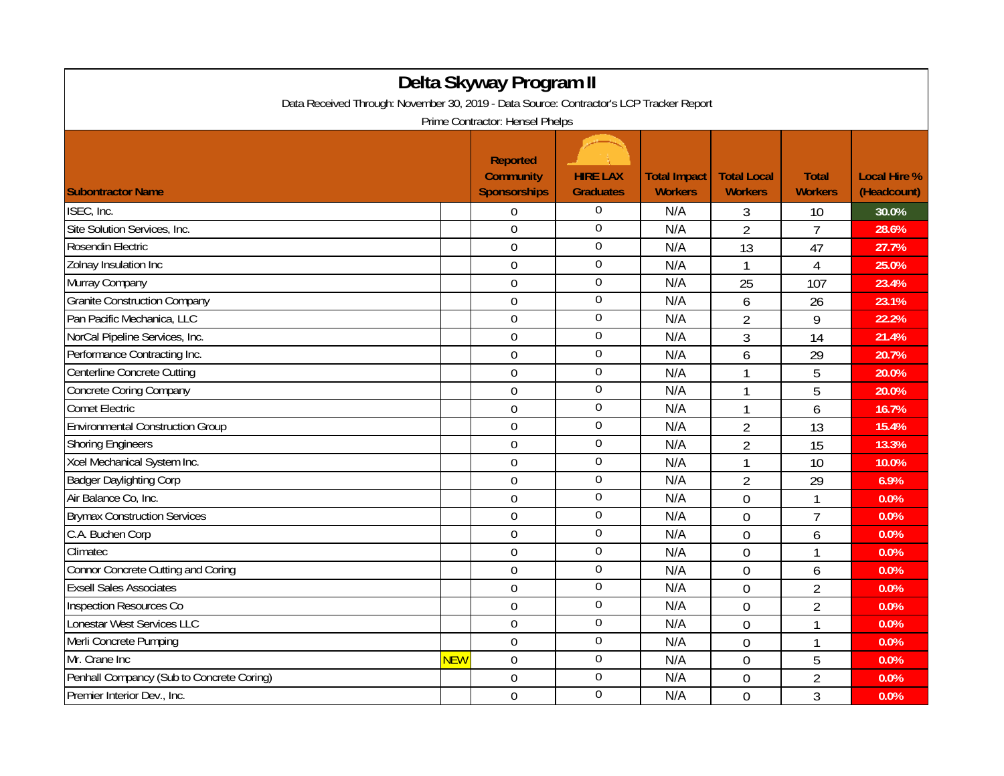| Delta Skyway Program II                                                                 |            |                                                            |                                     |                                       |                                      |                                |                                    |  |
|-----------------------------------------------------------------------------------------|------------|------------------------------------------------------------|-------------------------------------|---------------------------------------|--------------------------------------|--------------------------------|------------------------------------|--|
| Data Received Through: November 30, 2019 - Data Source: Contractor's LCP Tracker Report |            |                                                            |                                     |                                       |                                      |                                |                                    |  |
| Prime Contractor: Hensel Phelps                                                         |            |                                                            |                                     |                                       |                                      |                                |                                    |  |
| <b>Subontractor Name</b>                                                                |            | <b>Reported</b><br><b>Community</b><br><b>Sponsorships</b> | <b>HIRE LAX</b><br><b>Graduates</b> | <b>Total Impact</b><br><b>Workers</b> | <b>Total Local</b><br><b>Workers</b> | <b>Total</b><br><b>Workers</b> | <b>Local Hire %</b><br>(Headcount) |  |
| ISEC, Inc.                                                                              |            | $\Omega$                                                   | $\Omega$                            | N/A                                   | 3                                    | 10                             | 30.0%                              |  |
| Site Solution Services, Inc.                                                            |            | $\Omega$                                                   | $\boldsymbol{0}$                    | N/A                                   | $\overline{2}$                       | $\overline{7}$                 | 28.6%                              |  |
| Rosendin Electric                                                                       |            | $\overline{0}$                                             | $\boldsymbol{0}$                    | N/A                                   | 13                                   | 47                             | 27.7%                              |  |
| Zolnay Insulation Inc                                                                   |            | $\mathbf 0$                                                | $\boldsymbol{0}$                    | N/A                                   | $\mathbf{1}$                         | $\overline{4}$                 | 25.0%                              |  |
| Murray Company                                                                          |            | $\overline{0}$                                             | $\overline{0}$                      | N/A                                   | 25                                   | 107                            | 23.4%                              |  |
| <b>Granite Construction Company</b>                                                     |            | $\mathbf 0$                                                | $\mathbf 0$                         | N/A                                   | 6                                    | 26                             | 23.1%                              |  |
| Pan Pacific Mechanica, LLC                                                              |            | $\overline{0}$                                             | $\overline{0}$                      | N/A                                   | $\overline{2}$                       | 9                              | 22.2%                              |  |
| NorCal Pipeline Services, Inc.                                                          |            | $\overline{0}$                                             | $\boldsymbol{0}$                    | N/A                                   | 3                                    | 14                             | 21.4%                              |  |
| Performance Contracting Inc.                                                            |            | $\overline{0}$                                             | $\overline{0}$                      | N/A                                   | 6                                    | 29                             | 20.7%                              |  |
| Centerline Concrete Cutting                                                             |            | $\mathbf 0$                                                | $\mathbf 0$                         | N/A                                   | $\mathbf{1}$                         | 5                              | 20.0%                              |  |
| Concrete Coring Company                                                                 |            | $\overline{0}$                                             | $\boldsymbol{0}$                    | N/A                                   | $\mathbf{1}$                         | 5                              | 20.0%                              |  |
| <b>Comet Electric</b>                                                                   |            | $\Omega$                                                   | $\boldsymbol{0}$                    | N/A                                   | $\mathbf{1}$                         | 6                              | 16.7%                              |  |
| <b>Environmental Construction Group</b>                                                 |            | $\overline{0}$                                             | $\boldsymbol{0}$                    | N/A                                   | $\overline{2}$                       | 13                             | 15.4%                              |  |
| <b>Shoring Engineers</b>                                                                |            | $\overline{0}$                                             | $\boldsymbol{0}$                    | N/A                                   | $\overline{2}$                       | 15                             | 13.3%                              |  |
| Xcel Mechanical System Inc.                                                             |            | $\mathbf 0$                                                | $\mathbf 0$                         | N/A                                   | $\mathbf{1}$                         | 10                             | 10.0%                              |  |
| <b>Badger Daylighting Corp</b>                                                          |            | $\mathbf 0$                                                | $\boldsymbol{0}$                    | N/A                                   | $\overline{2}$                       | 29                             | 6.9%                               |  |
| Air Balance Co, Inc.                                                                    |            | $\mathbf 0$                                                | $\boldsymbol{0}$                    | N/A                                   | $\overline{0}$                       | $\mathbf{1}$                   | 0.0%                               |  |
| <b>Brymax Construction Services</b>                                                     |            | $\overline{0}$                                             | $\boldsymbol{0}$                    | N/A                                   | $\overline{0}$                       | $\overline{7}$                 | 0.0%                               |  |
| C.A. Buchen Corp                                                                        |            | $\mathbf 0$                                                | $\boldsymbol{0}$                    | N/A                                   | $\mathbf 0$                          | 6                              | 0.0%                               |  |
| Climatec                                                                                |            | $\overline{0}$                                             | $\boldsymbol{0}$                    | N/A                                   | $\overline{0}$                       | 1                              | 0.0%                               |  |
| Connor Concrete Cutting and Coring                                                      |            | $\overline{0}$                                             | $\overline{0}$                      | N/A                                   | $\overline{0}$                       | 6                              | 0.0%                               |  |
| <b>Exsell Sales Associates</b>                                                          |            | $\overline{0}$                                             | $\boldsymbol{0}$                    | N/A                                   | $\overline{0}$                       | $\overline{2}$                 | 0.0%                               |  |
| <b>Inspection Resources Co</b>                                                          |            | $\overline{0}$                                             | $\boldsymbol{0}$                    | N/A                                   | $\overline{0}$                       | $\overline{2}$                 | 0.0%                               |  |
| Lonestar West Services LLC                                                              |            | $\mathbf 0$                                                | $\boldsymbol{0}$                    | N/A                                   | $\overline{0}$                       | 1                              | 0.0%                               |  |
| Merli Concrete Pumping                                                                  |            | $\mathbf 0$                                                | $\overline{0}$                      | N/A                                   | $\overline{0}$                       | 1                              | 0.0%                               |  |
| Mr. Crane Inc                                                                           | <b>NEW</b> | $\mathbf 0$                                                | $\overline{0}$                      | N/A                                   | $\overline{0}$                       | 5                              | 0.0%                               |  |
| Penhall Compancy (Sub to Concrete Coring)                                               |            | $\overline{0}$                                             | $\boldsymbol{0}$                    | N/A                                   | $\theta$                             | $\overline{2}$                 | 0.0%                               |  |
| Premier Interior Dev., Inc.                                                             |            | $\mathbf 0$                                                | $\Omega$                            | N/A                                   | $\overline{0}$                       | 3                              | 0.0%                               |  |